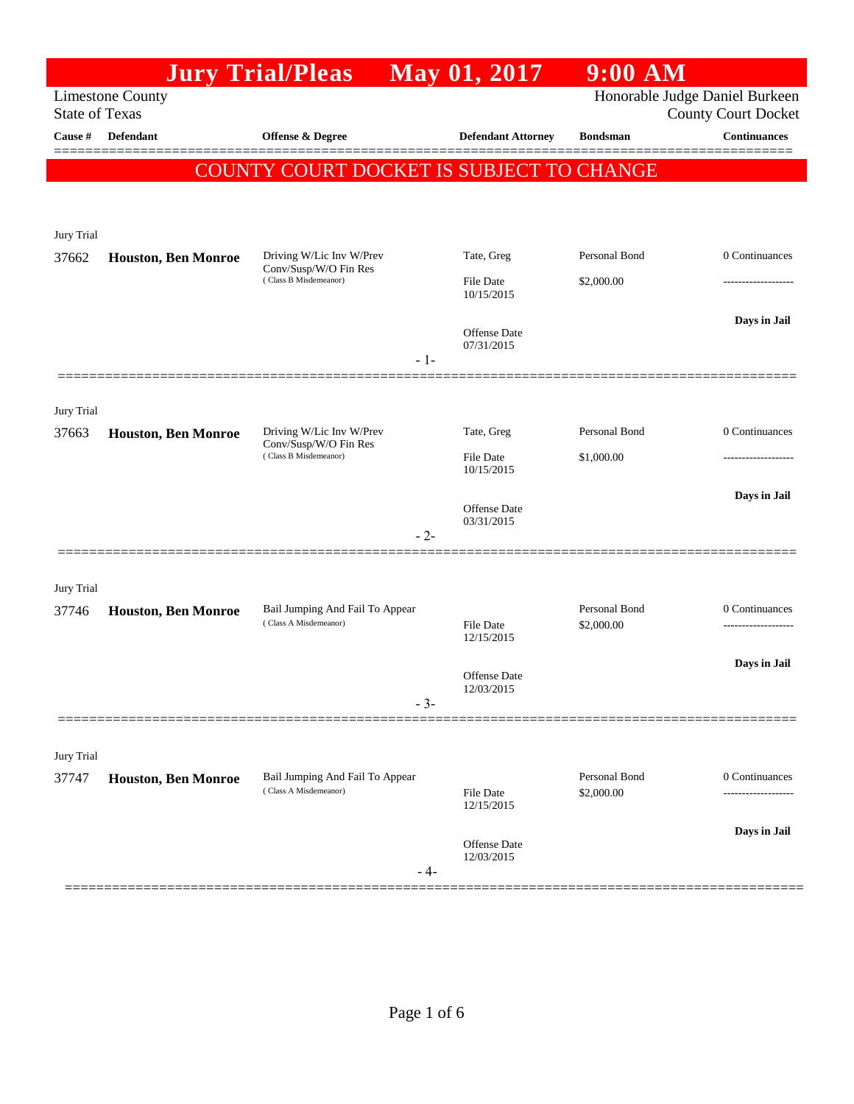| Honorable Judge Daniel Burkeen<br><b>Limestone County</b><br><b>State of Texas</b><br>Cause #<br><b>Defendant</b><br><b>Offense &amp; Degree</b><br><b>Defendant Attorney</b><br><b>Continuances</b><br><b>Bondsman</b><br><b>COUNTY COURT DOCKET IS SUBJECT TO CHANGE</b><br>Jury Trial<br>Personal Bond<br>0 Continuances<br>Driving W/Lic Inv W/Prev<br>Tate, Greg<br>37662<br><b>Houston, Ben Monroe</b><br>Conv/Susp/W/O Fin Res<br>(Class B Misdemeanor)<br><b>File Date</b><br>\$2,000.00<br>10/15/2015<br>Days in Jail<br>Offense Date<br>07/31/2015<br>- 1-<br>Jury Trial<br>Personal Bond<br>0 Continuances<br>Driving W/Lic Inv W/Prev<br>Tate, Greg<br>37663<br><b>Houston, Ben Monroe</b><br>Conv/Susp/W/O Fin Res<br>(Class B Misdemeanor)<br>\$1,000.00<br><b>File Date</b><br>10/15/2015<br>Days in Jail<br>Offense Date<br>03/31/2015<br>- 2-<br>Jury Trial<br>Personal Bond<br>0 Continuances<br>Bail Jumping And Fail To Appear<br>37746<br><b>Houston, Ben Monroe</b><br>(Class A Misdemeanor)<br>\$2,000.00<br><b>File Date</b><br>-------------------<br>12/15/2015<br>Days in Jail<br>Offense Date<br>12/03/2015<br>$-3-$<br>Jury Trial<br>Personal Bond<br>Bail Jumping And Fail To Appear<br>0 Continuances<br>37747<br><b>Houston, Ben Monroe</b><br>(Class A Misdemeanor)<br><b>File Date</b><br>\$2,000.00<br>----------<br>12/15/2015<br>Days in Jail<br>Offense Date<br>12/03/2015<br>$-4-$ |  | <b>Jury Trial/Pleas</b> | May 01, 2017 | $9:00$ AM |                            |
|---------------------------------------------------------------------------------------------------------------------------------------------------------------------------------------------------------------------------------------------------------------------------------------------------------------------------------------------------------------------------------------------------------------------------------------------------------------------------------------------------------------------------------------------------------------------------------------------------------------------------------------------------------------------------------------------------------------------------------------------------------------------------------------------------------------------------------------------------------------------------------------------------------------------------------------------------------------------------------------------------------------------------------------------------------------------------------------------------------------------------------------------------------------------------------------------------------------------------------------------------------------------------------------------------------------------------------------------------------------------------------------------------------------------------|--|-------------------------|--------------|-----------|----------------------------|
|                                                                                                                                                                                                                                                                                                                                                                                                                                                                                                                                                                                                                                                                                                                                                                                                                                                                                                                                                                                                                                                                                                                                                                                                                                                                                                                                                                                                                           |  |                         |              |           | <b>County Court Docket</b> |
|                                                                                                                                                                                                                                                                                                                                                                                                                                                                                                                                                                                                                                                                                                                                                                                                                                                                                                                                                                                                                                                                                                                                                                                                                                                                                                                                                                                                                           |  |                         |              |           |                            |
|                                                                                                                                                                                                                                                                                                                                                                                                                                                                                                                                                                                                                                                                                                                                                                                                                                                                                                                                                                                                                                                                                                                                                                                                                                                                                                                                                                                                                           |  |                         |              |           |                            |
|                                                                                                                                                                                                                                                                                                                                                                                                                                                                                                                                                                                                                                                                                                                                                                                                                                                                                                                                                                                                                                                                                                                                                                                                                                                                                                                                                                                                                           |  |                         |              |           |                            |
|                                                                                                                                                                                                                                                                                                                                                                                                                                                                                                                                                                                                                                                                                                                                                                                                                                                                                                                                                                                                                                                                                                                                                                                                                                                                                                                                                                                                                           |  |                         |              |           |                            |
|                                                                                                                                                                                                                                                                                                                                                                                                                                                                                                                                                                                                                                                                                                                                                                                                                                                                                                                                                                                                                                                                                                                                                                                                                                                                                                                                                                                                                           |  |                         |              |           |                            |
|                                                                                                                                                                                                                                                                                                                                                                                                                                                                                                                                                                                                                                                                                                                                                                                                                                                                                                                                                                                                                                                                                                                                                                                                                                                                                                                                                                                                                           |  |                         |              |           |                            |
|                                                                                                                                                                                                                                                                                                                                                                                                                                                                                                                                                                                                                                                                                                                                                                                                                                                                                                                                                                                                                                                                                                                                                                                                                                                                                                                                                                                                                           |  |                         |              |           |                            |
|                                                                                                                                                                                                                                                                                                                                                                                                                                                                                                                                                                                                                                                                                                                                                                                                                                                                                                                                                                                                                                                                                                                                                                                                                                                                                                                                                                                                                           |  |                         |              |           |                            |
|                                                                                                                                                                                                                                                                                                                                                                                                                                                                                                                                                                                                                                                                                                                                                                                                                                                                                                                                                                                                                                                                                                                                                                                                                                                                                                                                                                                                                           |  |                         |              |           |                            |
|                                                                                                                                                                                                                                                                                                                                                                                                                                                                                                                                                                                                                                                                                                                                                                                                                                                                                                                                                                                                                                                                                                                                                                                                                                                                                                                                                                                                                           |  |                         |              |           |                            |
|                                                                                                                                                                                                                                                                                                                                                                                                                                                                                                                                                                                                                                                                                                                                                                                                                                                                                                                                                                                                                                                                                                                                                                                                                                                                                                                                                                                                                           |  |                         |              |           |                            |
|                                                                                                                                                                                                                                                                                                                                                                                                                                                                                                                                                                                                                                                                                                                                                                                                                                                                                                                                                                                                                                                                                                                                                                                                                                                                                                                                                                                                                           |  |                         |              |           |                            |
|                                                                                                                                                                                                                                                                                                                                                                                                                                                                                                                                                                                                                                                                                                                                                                                                                                                                                                                                                                                                                                                                                                                                                                                                                                                                                                                                                                                                                           |  |                         |              |           |                            |
|                                                                                                                                                                                                                                                                                                                                                                                                                                                                                                                                                                                                                                                                                                                                                                                                                                                                                                                                                                                                                                                                                                                                                                                                                                                                                                                                                                                                                           |  |                         |              |           |                            |
|                                                                                                                                                                                                                                                                                                                                                                                                                                                                                                                                                                                                                                                                                                                                                                                                                                                                                                                                                                                                                                                                                                                                                                                                                                                                                                                                                                                                                           |  |                         |              |           |                            |
|                                                                                                                                                                                                                                                                                                                                                                                                                                                                                                                                                                                                                                                                                                                                                                                                                                                                                                                                                                                                                                                                                                                                                                                                                                                                                                                                                                                                                           |  |                         |              |           |                            |
|                                                                                                                                                                                                                                                                                                                                                                                                                                                                                                                                                                                                                                                                                                                                                                                                                                                                                                                                                                                                                                                                                                                                                                                                                                                                                                                                                                                                                           |  |                         |              |           |                            |
|                                                                                                                                                                                                                                                                                                                                                                                                                                                                                                                                                                                                                                                                                                                                                                                                                                                                                                                                                                                                                                                                                                                                                                                                                                                                                                                                                                                                                           |  |                         |              |           |                            |
|                                                                                                                                                                                                                                                                                                                                                                                                                                                                                                                                                                                                                                                                                                                                                                                                                                                                                                                                                                                                                                                                                                                                                                                                                                                                                                                                                                                                                           |  |                         |              |           |                            |
|                                                                                                                                                                                                                                                                                                                                                                                                                                                                                                                                                                                                                                                                                                                                                                                                                                                                                                                                                                                                                                                                                                                                                                                                                                                                                                                                                                                                                           |  |                         |              |           |                            |
|                                                                                                                                                                                                                                                                                                                                                                                                                                                                                                                                                                                                                                                                                                                                                                                                                                                                                                                                                                                                                                                                                                                                                                                                                                                                                                                                                                                                                           |  |                         |              |           |                            |
|                                                                                                                                                                                                                                                                                                                                                                                                                                                                                                                                                                                                                                                                                                                                                                                                                                                                                                                                                                                                                                                                                                                                                                                                                                                                                                                                                                                                                           |  |                         |              |           |                            |
|                                                                                                                                                                                                                                                                                                                                                                                                                                                                                                                                                                                                                                                                                                                                                                                                                                                                                                                                                                                                                                                                                                                                                                                                                                                                                                                                                                                                                           |  |                         |              |           |                            |
|                                                                                                                                                                                                                                                                                                                                                                                                                                                                                                                                                                                                                                                                                                                                                                                                                                                                                                                                                                                                                                                                                                                                                                                                                                                                                                                                                                                                                           |  |                         |              |           |                            |
|                                                                                                                                                                                                                                                                                                                                                                                                                                                                                                                                                                                                                                                                                                                                                                                                                                                                                                                                                                                                                                                                                                                                                                                                                                                                                                                                                                                                                           |  |                         |              |           |                            |
|                                                                                                                                                                                                                                                                                                                                                                                                                                                                                                                                                                                                                                                                                                                                                                                                                                                                                                                                                                                                                                                                                                                                                                                                                                                                                                                                                                                                                           |  |                         |              |           |                            |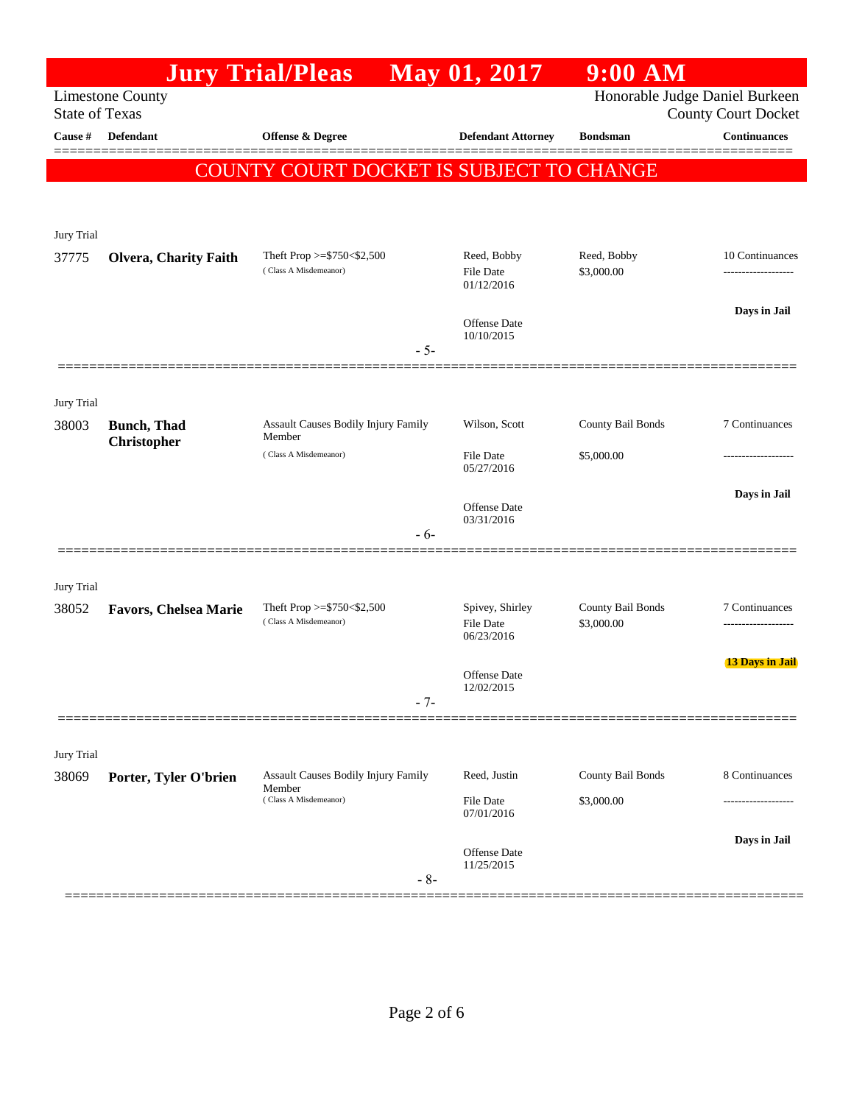|                       |                                           | <b>Jury Trial/Pleas</b>                              | May 01, 2017                        | $9:00$ AM                       |                            |
|-----------------------|-------------------------------------------|------------------------------------------------------|-------------------------------------|---------------------------------|----------------------------|
| <b>State of Texas</b> | <b>Limestone County</b>                   |                                                      |                                     | Honorable Judge Daniel Burkeen  | <b>County Court Docket</b> |
| Cause #               | <b>Defendant</b>                          | <b>Offense &amp; Degree</b>                          | <b>Defendant Attorney</b>           | <b>Bondsman</b>                 | <b>Continuances</b>        |
|                       |                                           | COUNTY COURT DOCKET IS SUBJECT TO CHANGE             |                                     |                                 | ======                     |
|                       |                                           |                                                      |                                     |                                 |                            |
| Jury Trial            |                                           |                                                      |                                     |                                 |                            |
| 37775                 | <b>Olvera, Charity Faith</b>              | Theft Prop >=\$750<\$2,500                           | Reed, Bobby                         | Reed, Bobby                     | 10 Continuances            |
|                       |                                           | (Class A Misdemeanor)                                | <b>File Date</b><br>01/12/2016      | \$3,000.00                      | -------------------        |
|                       |                                           |                                                      | Offense Date                        |                                 | Days in Jail               |
|                       |                                           | $-5-$                                                | 10/10/2015                          |                                 |                            |
|                       |                                           |                                                      |                                     |                                 |                            |
| Jury Trial            |                                           |                                                      |                                     |                                 |                            |
| 38003                 | <b>Bunch</b> , Thad<br><b>Christopher</b> | Assault Causes Bodily Injury Family<br>Member        | Wilson, Scott                       | County Bail Bonds               | 7 Continuances             |
|                       |                                           | (Class A Misdemeanor)                                | <b>File Date</b><br>05/27/2016      | \$5,000.00                      | -----------------          |
|                       |                                           |                                                      | Offense Date                        |                                 | Days in Jail               |
|                       |                                           | - 6-                                                 | 03/31/2016                          |                                 |                            |
|                       |                                           |                                                      |                                     |                                 |                            |
| Jury Trial            |                                           |                                                      |                                     |                                 |                            |
| 38052                 | <b>Favors, Chelsea Marie</b>              | Theft Prop >= $$750<$2,500$<br>(Class A Misdemeanor) | Spivey, Shirley<br><b>File Date</b> | County Bail Bonds<br>\$3,000.00 | 7 Continuances<br>.        |
|                       |                                           |                                                      | 06/23/2016                          |                                 | <b>13 Days in Jail</b>     |
|                       |                                           |                                                      | <b>Offense</b> Date<br>12/02/2015   |                                 |                            |
|                       |                                           | $-7-$                                                |                                     |                                 |                            |
| Jury Trial            |                                           |                                                      |                                     |                                 |                            |
| 38069                 | Porter, Tyler O'brien                     | <b>Assault Causes Bodily Injury Family</b>           | Reed, Justin                        | County Bail Bonds               | 8 Continuances             |
|                       |                                           | Member<br>(Class A Misdemeanor)                      | <b>File Date</b><br>07/01/2016      | \$3,000.00                      |                            |
|                       |                                           |                                                      |                                     |                                 | Days in Jail               |
|                       |                                           |                                                      | Offense Date<br>11/25/2015          |                                 |                            |
|                       |                                           | $-8-$                                                |                                     |                                 |                            |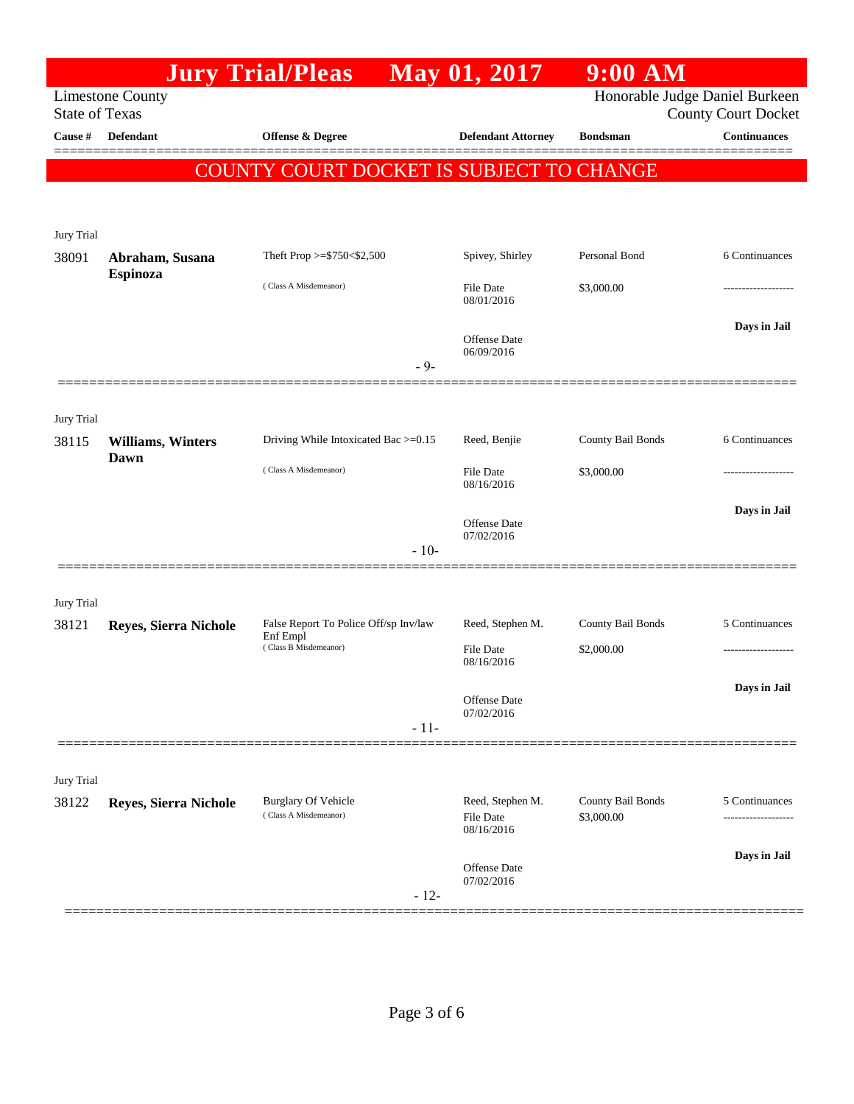|                       |                          | <b>Jury Trial/Pleas</b>                             | May 01, 2017                                                 | $9:00$ AM         |                     |
|-----------------------|--------------------------|-----------------------------------------------------|--------------------------------------------------------------|-------------------|---------------------|
| <b>State of Texas</b> | <b>Limestone County</b>  |                                                     | Honorable Judge Daniel Burkeen<br><b>County Court Docket</b> |                   |                     |
| Cause #               | <b>Defendant</b>         | <b>Offense &amp; Degree</b>                         | <b>Defendant Attorney</b>                                    | <b>Bondsman</b>   | <b>Continuances</b> |
|                       |                          | COUNTY COURT DOCKET IS SUBJECT TO CHANGE            |                                                              |                   |                     |
|                       |                          |                                                     |                                                              |                   |                     |
| Jury Trial            |                          |                                                     |                                                              |                   |                     |
| 38091                 | Abraham, Susana          | Theft Prop >=\$750<\$2,500                          | Spivey, Shirley                                              | Personal Bond     | 6 Continuances      |
|                       | <b>Espinoza</b>          | (Class A Misdemeanor)                               | File Date<br>08/01/2016                                      | \$3,000.00        | ---------------     |
|                       |                          |                                                     | Offense Date<br>06/09/2016                                   |                   | Days in Jail        |
|                       |                          | $-9-$                                               |                                                              |                   |                     |
| Jury Trial            |                          |                                                     |                                                              |                   |                     |
| 38115                 | <b>Williams, Winters</b> | Driving While Intoxicated Bac >=0.15                | Reed, Benjie                                                 | County Bail Bonds | 6 Continuances      |
|                       | Dawn                     | (Class A Misdemeanor)                               | File Date<br>08/16/2016                                      | \$3,000.00        |                     |
|                       |                          |                                                     | Offense Date<br>07/02/2016                                   |                   | Days in Jail        |
|                       |                          | $-10-$                                              |                                                              |                   |                     |
|                       |                          |                                                     |                                                              |                   |                     |
| Jury Trial<br>38121   | Reyes, Sierra Nichole    | False Report To Police Off/sp Inv/law               | Reed, Stephen M.                                             | County Bail Bonds | 5 Continuances      |
|                       |                          | Enf Empl<br>(Class B Misdemeanor)                   | <b>File Date</b><br>08/16/2016                               | \$2,000.00        | ------------------- |
|                       |                          |                                                     |                                                              |                   | Days in Jail        |
|                       |                          |                                                     | Offense Date<br>07/02/2016                                   |                   |                     |
|                       |                          | $-11-$                                              |                                                              |                   |                     |
| Jury Trial            |                          |                                                     |                                                              |                   |                     |
| 38122                 | Reyes, Sierra Nichole    | <b>Burglary Of Vehicle</b><br>(Class A Misdemeanor) | Reed, Stephen M.                                             | County Bail Bonds | 5 Continuances      |
|                       |                          |                                                     | File Date<br>08/16/2016                                      | \$3,000.00        | -----------         |
|                       |                          |                                                     | Offense Date<br>07/02/2016                                   |                   | Days in Jail        |
|                       |                          | $-12-$                                              |                                                              |                   |                     |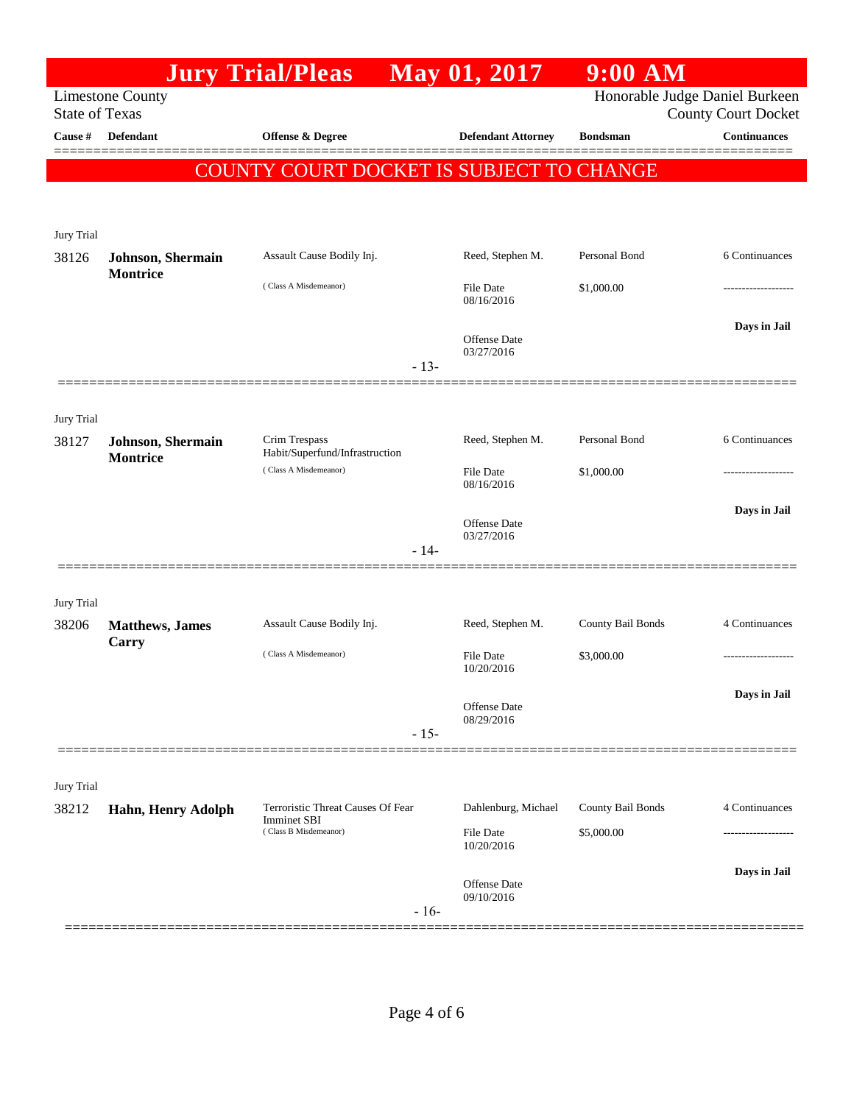|                       |                                      | <b>Jury Trial/Pleas</b>                                                          |        | May 01, 2017                      | 9:00 AM           |                                                              |
|-----------------------|--------------------------------------|----------------------------------------------------------------------------------|--------|-----------------------------------|-------------------|--------------------------------------------------------------|
| <b>State of Texas</b> | <b>Limestone County</b>              |                                                                                  |        |                                   |                   | Honorable Judge Daniel Burkeen<br><b>County Court Docket</b> |
| Cause #               | <b>Defendant</b>                     | <b>Offense &amp; Degree</b>                                                      |        | <b>Defendant Attorney</b>         | <b>Bondsman</b>   | <b>Continuances</b>                                          |
|                       |                                      | COUNTY COURT DOCKET IS SUBJECT TO CHANGE                                         |        |                                   |                   | -----                                                        |
|                       |                                      |                                                                                  |        |                                   |                   |                                                              |
|                       |                                      |                                                                                  |        |                                   |                   |                                                              |
| Jury Trial<br>38126   | Johnson, Shermain                    | Assault Cause Bodily Inj.                                                        |        | Reed, Stephen M.                  | Personal Bond     | 6 Continuances                                               |
|                       | <b>Montrice</b>                      | (Class A Misdemeanor)                                                            |        |                                   |                   |                                                              |
|                       |                                      |                                                                                  |        | <b>File Date</b><br>08/16/2016    | \$1,000.00        |                                                              |
|                       |                                      |                                                                                  |        | <b>Offense</b> Date               |                   | Days in Jail                                                 |
|                       |                                      |                                                                                  | $-13-$ | 03/27/2016                        |                   |                                                              |
|                       |                                      |                                                                                  |        |                                   |                   |                                                              |
| Jury Trial            |                                      |                                                                                  |        |                                   |                   |                                                              |
| 38127                 | Johnson, Shermain<br><b>Montrice</b> | Crim Trespass<br>Habit/Superfund/Infrastruction                                  |        | Reed, Stephen M.                  | Personal Bond     | 6 Continuances                                               |
|                       |                                      | (Class A Misdemeanor)                                                            |        | <b>File Date</b><br>08/16/2016    | \$1,000.00        |                                                              |
|                       |                                      |                                                                                  |        |                                   |                   | Days in Jail                                                 |
|                       |                                      |                                                                                  |        | <b>Offense</b> Date<br>03/27/2016 |                   |                                                              |
|                       |                                      |                                                                                  | $-14-$ |                                   |                   |                                                              |
|                       |                                      |                                                                                  |        |                                   |                   |                                                              |
| Jury Trial<br>38206   | <b>Matthews</b> , James              | Assault Cause Bodily Inj.                                                        |        | Reed, Stephen M.                  | County Bail Bonds | 4 Continuances                                               |
|                       | Carry                                | (Class A Misdemeanor)                                                            |        | <b>File Date</b>                  | \$3,000.00        |                                                              |
|                       |                                      |                                                                                  |        | 10/20/2016                        |                   |                                                              |
|                       |                                      |                                                                                  |        | <b>Offense Date</b>               |                   | Days in Jail                                                 |
|                       |                                      |                                                                                  | $-15-$ | 08/29/2016                        |                   |                                                              |
|                       |                                      |                                                                                  |        |                                   |                   |                                                              |
| <b>Jury Trial</b>     |                                      |                                                                                  |        |                                   |                   |                                                              |
| 38212                 | Hahn, Henry Adolph                   | Terroristic Threat Causes Of Fear<br><b>Imminet SBI</b><br>(Class B Misdemeanor) |        | Dahlenburg, Michael               | County Bail Bonds | 4 Continuances                                               |
|                       |                                      |                                                                                  |        | File Date<br>10/20/2016           | \$5,000.00        |                                                              |
|                       |                                      |                                                                                  |        | <b>Offense Date</b>               |                   | Days in Jail                                                 |
|                       |                                      |                                                                                  | $-16-$ | 09/10/2016                        |                   |                                                              |
|                       |                                      |                                                                                  |        |                                   |                   |                                                              |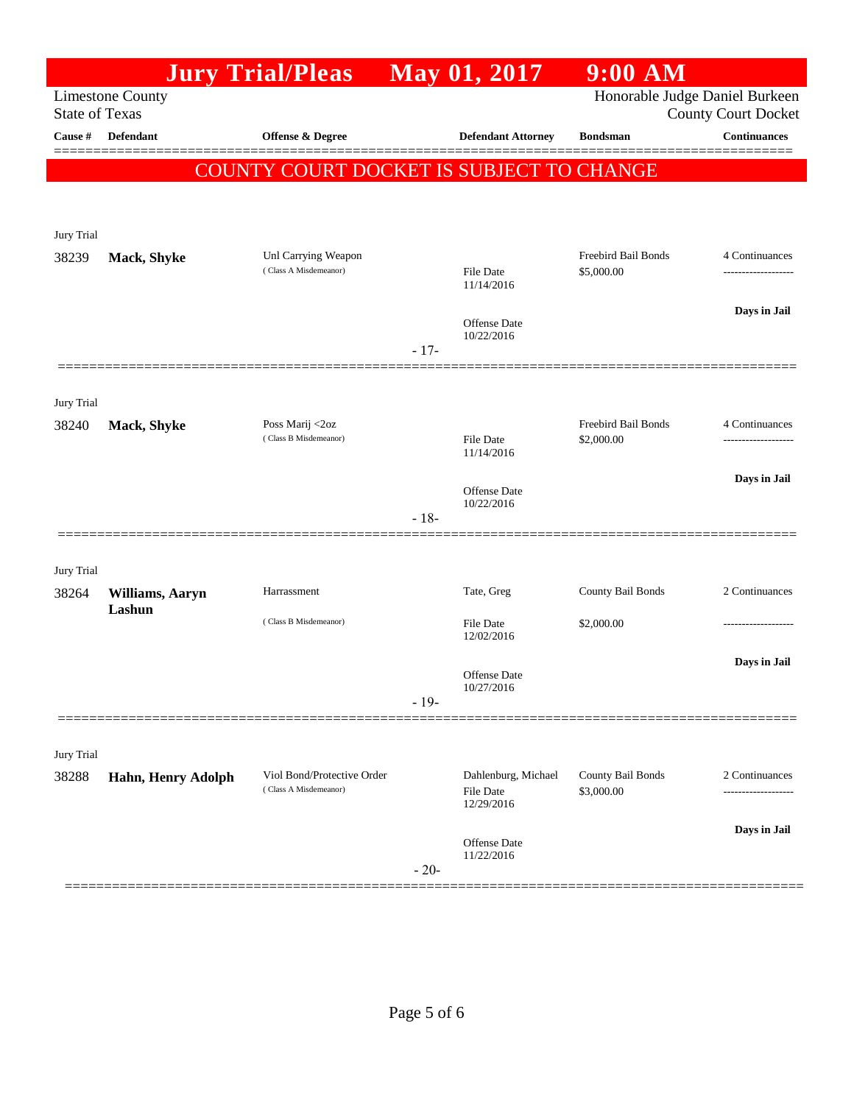|                                                                                    |                           | <b>Jury Trial/Pleas</b>                         |        | May 01, 2017                   | $9:00$ AM                         |                                                   |
|------------------------------------------------------------------------------------|---------------------------|-------------------------------------------------|--------|--------------------------------|-----------------------------------|---------------------------------------------------|
| Honorable Judge Daniel Burkeen<br><b>Limestone County</b><br><b>State of Texas</b> |                           |                                                 |        |                                |                                   |                                                   |
| Cause #                                                                            | Defendant                 | Offense & Degree                                |        | <b>Defendant Attorney</b>      | <b>Bondsman</b>                   | <b>County Court Docket</b><br><b>Continuances</b> |
|                                                                                    |                           |                                                 |        |                                |                                   | ========                                          |
|                                                                                    |                           | <b>COUNTY COURT DOCKET IS SUBJECT TO CHANGE</b> |        |                                |                                   |                                                   |
|                                                                                    |                           |                                                 |        |                                |                                   |                                                   |
| Jury Trial                                                                         |                           |                                                 |        |                                |                                   |                                                   |
| 38239                                                                              | Mack, Shyke               | Unl Carrying Weapon<br>(Class A Misdemeanor)    |        | <b>File Date</b>               | Freebird Bail Bonds<br>\$5,000.00 | 4 Continuances<br>-----------------               |
|                                                                                    |                           |                                                 |        | 11/14/2016                     |                                   |                                                   |
|                                                                                    |                           |                                                 |        | Offense Date<br>10/22/2016     |                                   | Days in Jail                                      |
|                                                                                    |                           |                                                 | $-17-$ |                                |                                   |                                                   |
|                                                                                    |                           |                                                 |        |                                |                                   |                                                   |
| Jury Trial                                                                         |                           |                                                 |        |                                |                                   |                                                   |
| 38240                                                                              | Mack, Shyke               | Poss Marij <2oz<br>(Class B Misdemeanor)        |        | <b>File Date</b>               | Freebird Bail Bonds<br>\$2,000.00 | 4 Continuances<br>-----------------               |
|                                                                                    |                           |                                                 |        | 11/14/2016                     |                                   |                                                   |
|                                                                                    |                           |                                                 |        | Offense Date                   |                                   | Days in Jail                                      |
|                                                                                    |                           |                                                 | $-18-$ | 10/22/2016                     |                                   |                                                   |
|                                                                                    |                           |                                                 |        |                                |                                   |                                                   |
| Jury Trial                                                                         |                           |                                                 |        |                                |                                   |                                                   |
| 38264                                                                              | Williams, Aaryn<br>Lashun | Harrassment                                     |        | Tate, Greg                     | County Bail Bonds                 | 2 Continuances                                    |
|                                                                                    |                           | (Class B Misdemeanor)                           |        | <b>File Date</b><br>12/02/2016 | \$2,000.00                        |                                                   |
|                                                                                    |                           |                                                 |        |                                |                                   | Days in Jail                                      |
|                                                                                    |                           |                                                 |        | Offense Date<br>10/27/2016     |                                   |                                                   |
|                                                                                    |                           |                                                 | $-19-$ |                                |                                   |                                                   |
|                                                                                    |                           |                                                 |        |                                |                                   |                                                   |
| Jury Trial<br>38288                                                                | Hahn, Henry Adolph        | Viol Bond/Protective Order                      |        | Dahlenburg, Michael            | County Bail Bonds                 | 2 Continuances                                    |
|                                                                                    |                           | (Class A Misdemeanor)                           |        | <b>File Date</b><br>12/29/2016 | \$3,000.00                        |                                                   |
|                                                                                    |                           |                                                 |        |                                |                                   | Days in Jail                                      |
|                                                                                    |                           |                                                 |        | Offense Date<br>11/22/2016     |                                   |                                                   |
|                                                                                    |                           |                                                 | $-20-$ |                                |                                   |                                                   |